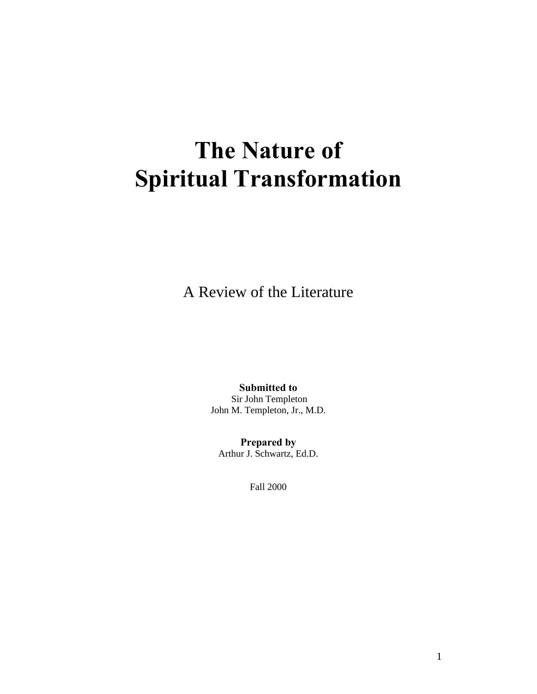# **The Nature of Spiritual Transformation**

A Review of the Literature

**Submitted to** Sir John Templeton John M. Templeton, Jr., M.D.

**Prepared by** Arthur J. Schwartz, Ed.D.

Fall 2000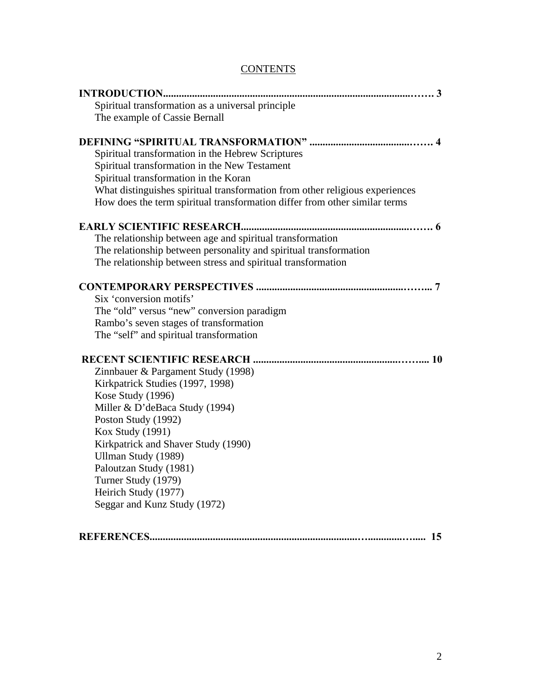#### **CONTENTS**

| Spiritual transformation as a universal principle            |                                                                              |
|--------------------------------------------------------------|------------------------------------------------------------------------------|
| The example of Cassie Bernall                                |                                                                              |
|                                                              |                                                                              |
| Spiritual transformation in the Hebrew Scriptures            |                                                                              |
| Spiritual transformation in the New Testament                |                                                                              |
| Spiritual transformation in the Koran                        |                                                                              |
|                                                              | What distinguishes spiritual transformation from other religious experiences |
|                                                              | How does the term spiritual transformation differ from other similar terms   |
|                                                              |                                                                              |
| The relationship between age and spiritual transformation    |                                                                              |
|                                                              | The relationship between personality and spiritual transformation            |
| The relationship between stress and spiritual transformation |                                                                              |
|                                                              |                                                                              |
| Six 'conversion motifs'                                      |                                                                              |
| The "old" versus "new" conversion paradigm                   |                                                                              |
| Rambo's seven stages of transformation                       |                                                                              |
| The "self" and spiritual transformation                      |                                                                              |
|                                                              |                                                                              |
| Zinnbauer & Pargament Study (1998)                           |                                                                              |
| Kirkpatrick Studies (1997, 1998)                             |                                                                              |
| Kose Study (1996)                                            |                                                                              |
| Miller & D'deBaca Study (1994)                               |                                                                              |
| Poston Study (1992)                                          |                                                                              |
| <b>Kox Study (1991)</b>                                      |                                                                              |
| Kirkpatrick and Shaver Study (1990)                          |                                                                              |
| Ullman Study (1989)                                          |                                                                              |
| Paloutzan Study (1981)                                       |                                                                              |
| Turner Study (1979)                                          |                                                                              |
| Heirich Study (1977)                                         |                                                                              |
| Seggar and Kunz Study (1972)                                 |                                                                              |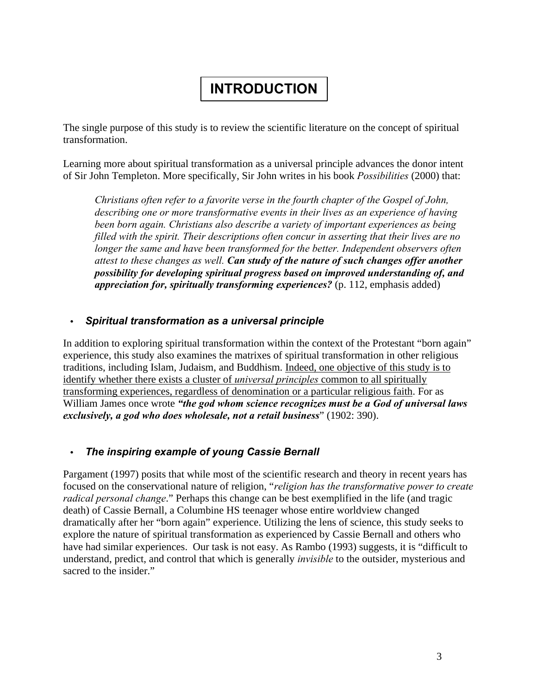# **INTRODUCTION**

The single purpose of this study is to review the scientific literature on the concept of spiritual transformation.

Learning more about spiritual transformation as a universal principle advances the donor intent of Sir John Templeton. More specifically, Sir John writes in his book *Possibilities* (2000) that:

*Christians often refer to a favorite verse in the fourth chapter of the Gospel of John, describing one or more transformative events in their lives as an experience of having been born again. Christians also describe a variety of important experiences as being filled with the spirit. Their descriptions often concur in asserting that their lives are no longer the same and have been transformed for the better. Independent observers often attest to these changes as well. Can study of the nature of such changes offer another possibility for developing spiritual progress based on improved understanding of, and appreciation for, spiritually transforming experiences?* (p. 112, emphasis added)

#### **·** *Spiritual transformation as a universal principle*

In addition to exploring spiritual transformation within the context of the Protestant "born again" experience, this study also examines the matrixes of spiritual transformation in other religious traditions, including Islam, Judaism, and Buddhism. Indeed, one objective of this study is to identify whether there exists a cluster of *universal principles* common to all spiritually transforming experiences, regardless of denomination or a particular religious faith. For as William James once wrote *"the god whom science recognizes must be a God of universal laws exclusively, a god who does wholesale, not a retail business*" (1902: 390).

### **·** *The inspiring example of young Cassie Bernall*

Pargament (1997) posits that while most of the scientific research and theory in recent years has focused on the conservational nature of religion, "*religion has the transformative power to create radical personal change*." Perhaps this change can be best exemplified in the life (and tragic death) of Cassie Bernall, a Columbine HS teenager whose entire worldview changed dramatically after her "born again" experience. Utilizing the lens of science, this study seeks to explore the nature of spiritual transformation as experienced by Cassie Bernall and others who have had similar experiences. Our task is not easy. As Rambo (1993) suggests, it is "difficult to understand, predict, and control that which is generally *invisible* to the outsider, mysterious and sacred to the insider."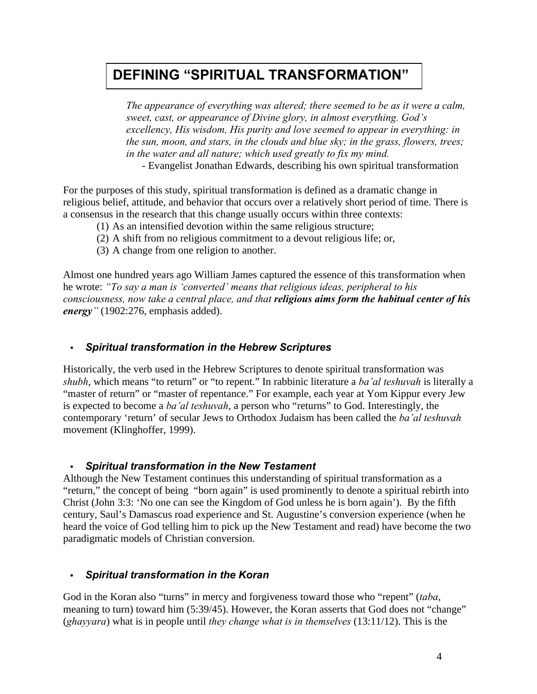## **DEFINING "SPIRITUAL TRANSFORMATION"**

*The appearance of everything was altered; there seemed to be as it were a calm, sweet, cast, or appearance of Divine glory, in almost everything. God's excellency, His wisdom, His purity and love seemed to appear in everything: in the sun, moon, and stars, in the clouds and blue sky; in the grass, flowers, trees; in the water and all nature; which used greatly to fix my mind.* 

- Evangelist Jonathan Edwards, describing his own spiritual transformation

For the purposes of this study, spiritual transformation is defined as a dramatic change in religious belief, attitude, and behavior that occurs over a relatively short period of time. There is a consensus in the research that this change usually occurs within three contexts:

- (1) As an intensified devotion within the same religious structure;
- (2) A shift from no religious commitment to a devout religious life; or,
- (3) A change from one religion to another.

Almost one hundred years ago William James captured the essence of this transformation when he wrote: *"To say a man is 'converted' means that religious ideas, peripheral to his consciousness, now take a central place, and that religious aims form the habitual center of his energy"* (1902:276, emphasis added).

#### **·** *Spiritual transformation in the Hebrew Scriptures*

Historically, the verb used in the Hebrew Scriptures to denote spiritual transformation was *shubh*, which means "to return" or "to repent." In rabbinic literature a *ba'al teshuvah* is literally a "master of return" or "master of repentance." For example, each year at Yom Kippur every Jew is expected to become a *ba'al teshuvah*, a person who "returns" to God. Interestingly, the contemporary 'return' of secular Jews to Orthodox Judaism has been called the *ba'al teshuvah* movement (Klinghoffer, 1999).

#### **·** *Spiritual transformation in the New Testament*

Although the New Testament continues this understanding of spiritual transformation as a "return," the concept of being "born again" is used prominently to denote a spiritual rebirth into Christ (John 3:3: 'No one can see the Kingdom of God unless he is born again'). By the fifth century, Saul's Damascus road experience and St. Augustine's conversion experience (when he heard the voice of God telling him to pick up the New Testament and read) have become the two paradigmatic models of Christian conversion.

#### **·** *Spiritual transformation in the Koran*

God in the Koran also "turns" in mercy and forgiveness toward those who "repent" (*taba*, meaning to turn) toward him (5:39/45). However, the Koran asserts that God does not "change" (*ghayyara*) what is in people until *they change what is in themselves* (13:11/12). This is the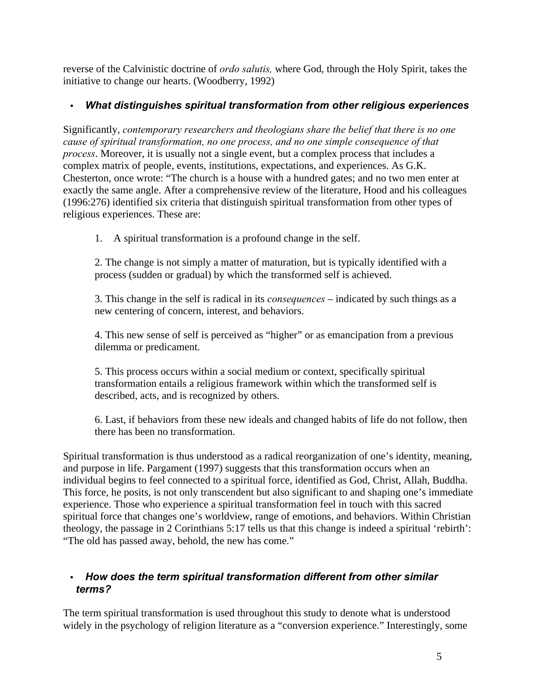reverse of the Calvinistic doctrine of *ordo salutis,* where God, through the Holy Spirit, takes the initiative to change our hearts. (Woodberry, 1992)

### **·** *What distinguishes spiritual transformation from other religious experiences*

Significantly, *contemporary researchers and theologians share the belief that there is no one cause of spiritual transformation, no one process, and no one simple consequence of that process*. Moreover, it is usually not a single event, but a complex process that includes a complex matrix of people, events, institutions, expectations, and experiences. As G.K. Chesterton, once wrote: "The church is a house with a hundred gates; and no two men enter at exactly the same angle. After a comprehensive review of the literature, Hood and his colleagues (1996:276) identified six criteria that distinguish spiritual transformation from other types of religious experiences. These are:

1. A spiritual transformation is a profound change in the self.

2. The change is not simply a matter of maturation, but is typically identified with a process (sudden or gradual) by which the transformed self is achieved.

3. This change in the self is radical in its *consequences* – indicated by such things as a new centering of concern, interest, and behaviors.

4. This new sense of self is perceived as "higher" or as emancipation from a previous dilemma or predicament.

5. This process occurs within a social medium or context, specifically spiritual transformation entails a religious framework within which the transformed self is described, acts, and is recognized by others.

6. Last, if behaviors from these new ideals and changed habits of life do not follow, then there has been no transformation.

Spiritual transformation is thus understood as a radical reorganization of one's identity, meaning, and purpose in life. Pargament (1997) suggests that this transformation occurs when an individual begins to feel connected to a spiritual force, identified as God, Christ, Allah, Buddha. This force, he posits, is not only transcendent but also significant to and shaping one's immediate experience. Those who experience a spiritual transformation feel in touch with this sacred spiritual force that changes one's worldview, range of emotions, and behaviors. Within Christian theology, the passage in 2 Corinthians 5:17 tells us that this change is indeed a spiritual 'rebirth': "The old has passed away, behold, the new has come."

#### **·** *How does the term spiritual transformation different from other similar terms?*

The term spiritual transformation is used throughout this study to denote what is understood widely in the psychology of religion literature as a "conversion experience." Interestingly, some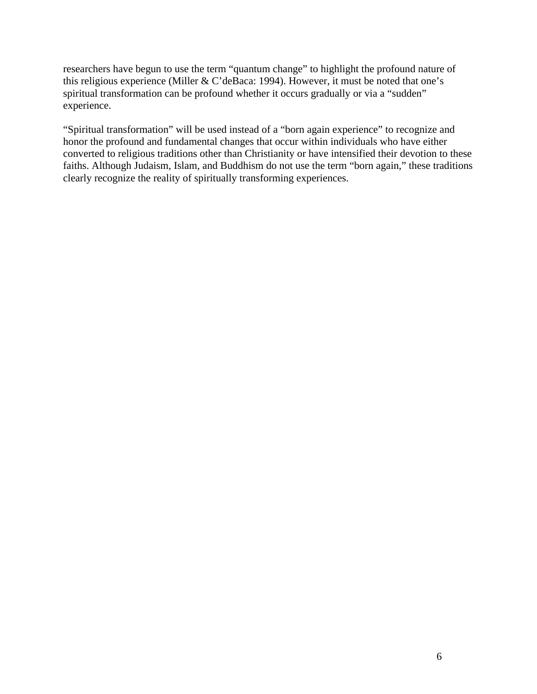researchers have begun to use the term "quantum change" to highlight the profound nature of this religious experience (Miller & C'deBaca: 1994). However, it must be noted that one's spiritual transformation can be profound whether it occurs gradually or via a "sudden" experience.

"Spiritual transformation" will be used instead of a "born again experience" to recognize and honor the profound and fundamental changes that occur within individuals who have either converted to religious traditions other than Christianity or have intensified their devotion to these faiths. Although Judaism, Islam, and Buddhism do not use the term "born again," these traditions clearly recognize the reality of spiritually transforming experiences.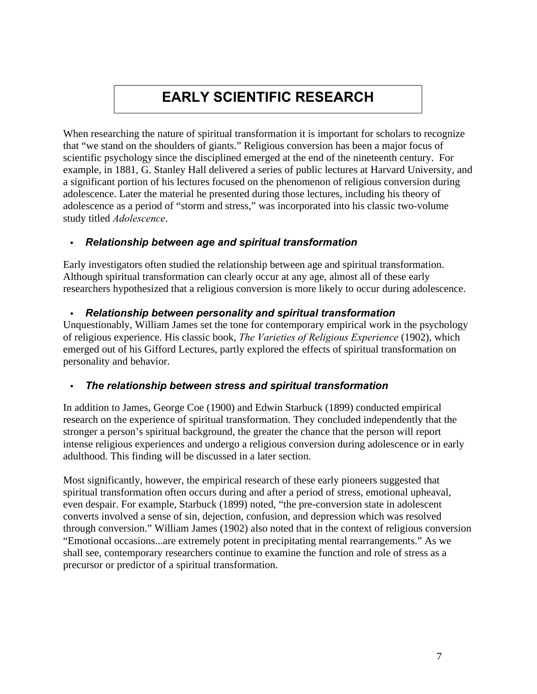# **EARLY SCIENTIFIC RESEARCH**

When researching the nature of spiritual transformation it is important for scholars to recognize that "we stand on the shoulders of giants." Religious conversion has been a major focus of scientific psychology since the disciplined emerged at the end of the nineteenth century. For example, in 1881, G. Stanley Hall delivered a series of public lectures at Harvard University, and a significant portion of his lectures focused on the phenomenon of religious conversion during adolescence. Later the material he presented during those lectures, including his theory of adolescence as a period of "storm and stress," was incorporated into his classic two-volume study titled *Adolescence*.

#### **·** *Relationship between age and spiritual transformation*

Early investigators often studied the relationship between age and spiritual transformation. Although spiritual transformation can clearly occur at any age, almost all of these early researchers hypothesized that a religious conversion is more likely to occur during adolescence.

#### **·** *Relationship between personality and spiritual transformation*

Unquestionably, William James set the tone for contemporary empirical work in the psychology of religious experience. His classic book, *The Varieties of Religious Experience* (1902), which emerged out of his Gifford Lectures, partly explored the effects of spiritual transformation on personality and behavior.

#### **·** *The relationship between stress and spiritual transformation*

In addition to James, George Coe (1900) and Edwin Starbuck (1899) conducted empirical research on the experience of spiritual transformation. They concluded independently that the stronger a person's spiritual background, the greater the chance that the person will report intense religious experiences and undergo a religious conversion during adolescence or in early adulthood. This finding will be discussed in a later section.

Most significantly, however, the empirical research of these early pioneers suggested that spiritual transformation often occurs during and after a period of stress, emotional upheaval, even despair. For example, Starbuck (1899) noted, "the pre-conversion state in adolescent converts involved a sense of sin, dejection, confusion, and depression which was resolved through conversion." William James (1902) also noted that in the context of religious conversion "Emotional occasions...are extremely potent in precipitating mental rearrangements." As we shall see, contemporary researchers continue to examine the function and role of stress as a precursor or predictor of a spiritual transformation.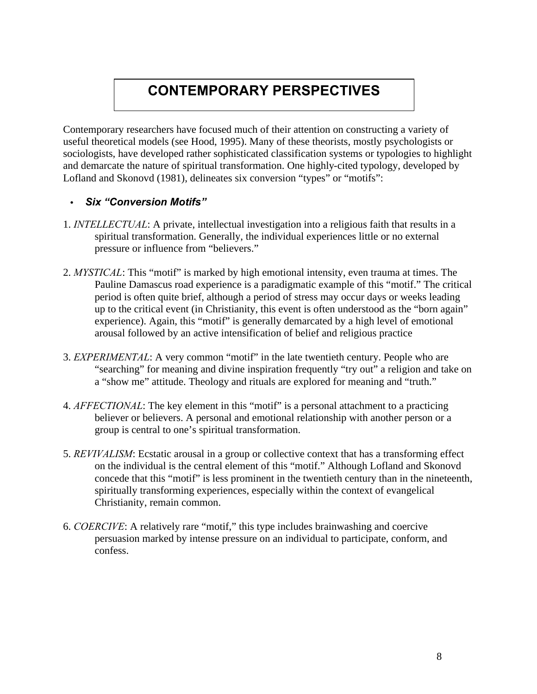# **CONTEMPORARY PERSPECTIVES**

Contemporary researchers have focused much of their attention on constructing a variety of useful theoretical models (see Hood, 1995). Many of these theorists, mostly psychologists or sociologists, have developed rather sophisticated classification systems or typologies to highlight and demarcate the nature of spiritual transformation. One highly-cited typology, developed by Lofland and Skonovd (1981), delineates six conversion "types" or "motifs":

#### **·** *Six "Conversion Motifs"*

- 1. *INTELLECTUAL*: A private, intellectual investigation into a religious faith that results in a spiritual transformation. Generally, the individual experiences little or no external pressure or influence from "believers."
- 2. *MYSTICAL*: This "motif" is marked by high emotional intensity, even trauma at times. The Pauline Damascus road experience is a paradigmatic example of this "motif." The critical period is often quite brief, although a period of stress may occur days or weeks leading up to the critical event (in Christianity, this event is often understood as the "born again" experience). Again, this "motif" is generally demarcated by a high level of emotional arousal followed by an active intensification of belief and religious practice
- 3. *EXPERIMENTAL*: A very common "motif" in the late twentieth century. People who are "searching" for meaning and divine inspiration frequently "try out" a religion and take on a "show me" attitude. Theology and rituals are explored for meaning and "truth."
- 4. *AFFECTIONAL*: The key element in this "motif" is a personal attachment to a practicing believer or believers. A personal and emotional relationship with another person or a group is central to one's spiritual transformation.
- 5. *REVIVALISM*: Ecstatic arousal in a group or collective context that has a transforming effect on the individual is the central element of this "motif." Although Lofland and Skonovd concede that this "motif" is less prominent in the twentieth century than in the nineteenth, spiritually transforming experiences, especially within the context of evangelical Christianity, remain common.
- 6. *COERCIVE*: A relatively rare "motif," this type includes brainwashing and coercive persuasion marked by intense pressure on an individual to participate, conform, and confess.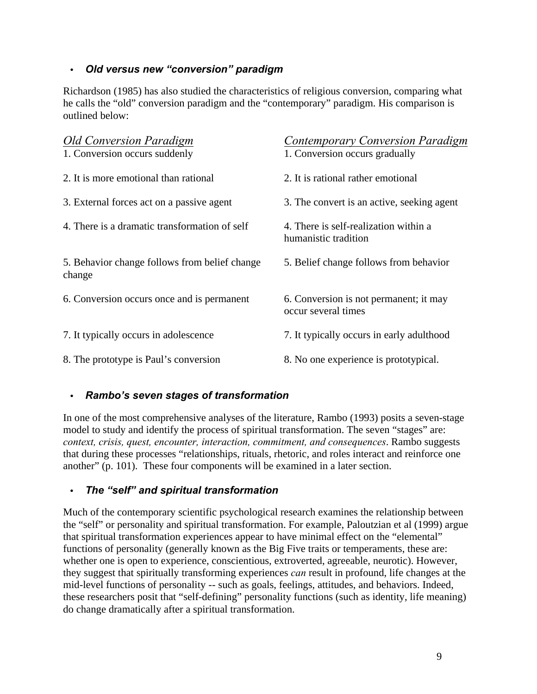#### **·** *Old versus new "conversion" paradigm*

Richardson (1985) has also studied the characteristics of religious conversion, comparing what he calls the "old" conversion paradigm and the "contemporary" paradigm. His comparison is outlined below:

| <b>Old Conversion Paradigm</b><br>1. Conversion occurs suddenly | <b>Contemporary Conversion Paradigm</b><br>1. Conversion occurs gradually |
|-----------------------------------------------------------------|---------------------------------------------------------------------------|
| 2. It is more emotional than rational                           | 2. It is rational rather emotional                                        |
| 3. External forces act on a passive agent                       | 3. The convert is an active, seeking agent                                |
| 4. There is a dramatic transformation of self                   | 4. There is self-realization within a<br>humanistic tradition             |
| 5. Behavior change follows from belief change<br>change         | 5. Belief change follows from behavior                                    |
| 6. Conversion occurs once and is permanent                      | 6. Conversion is not permanent; it may<br>occur several times             |
| 7. It typically occurs in adolescence                           | 7. It typically occurs in early adulthood                                 |
| 8. The prototype is Paul's conversion                           | 8. No one experience is prototypical.                                     |

#### **·** *Rambo's seven stages of transformation*

In one of the most comprehensive analyses of the literature, Rambo (1993) posits a seven-stage model to study and identify the process of spiritual transformation. The seven "stages" are: *context, crisis, quest, encounter, interaction, commitment, and consequences*. Rambo suggests that during these processes "relationships, rituals, rhetoric, and roles interact and reinforce one another" (p. 101). These four components will be examined in a later section.

#### **·** *The "self" and spiritual transformation*

Much of the contemporary scientific psychological research examines the relationship between the "self" or personality and spiritual transformation. For example, Paloutzian et al (1999) argue that spiritual transformation experiences appear to have minimal effect on the "elemental" functions of personality (generally known as the Big Five traits or temperaments, these are: whether one is open to experience, conscientious, extroverted, agreeable, neurotic). However, they suggest that spiritually transforming experiences *can* result in profound, life changes at the mid-level functions of personality -- such as goals, feelings, attitudes, and behaviors. Indeed, these researchers posit that "self-defining" personality functions (such as identity, life meaning) do change dramatically after a spiritual transformation.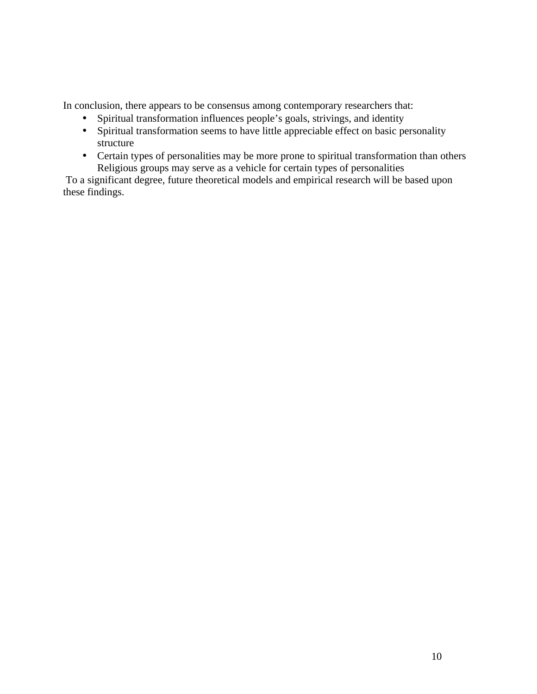In conclusion, there appears to be consensus among contemporary researchers that:

- Spiritual transformation influences people's goals, strivings, and identity
- Spiritual transformation seems to have little appreciable effect on basic personality structure
- Certain types of personalities may be more prone to spiritual transformation than others Religious groups may serve as a vehicle for certain types of personalities

To a significant degree, future theoretical models and empirical research will be based upon these findings.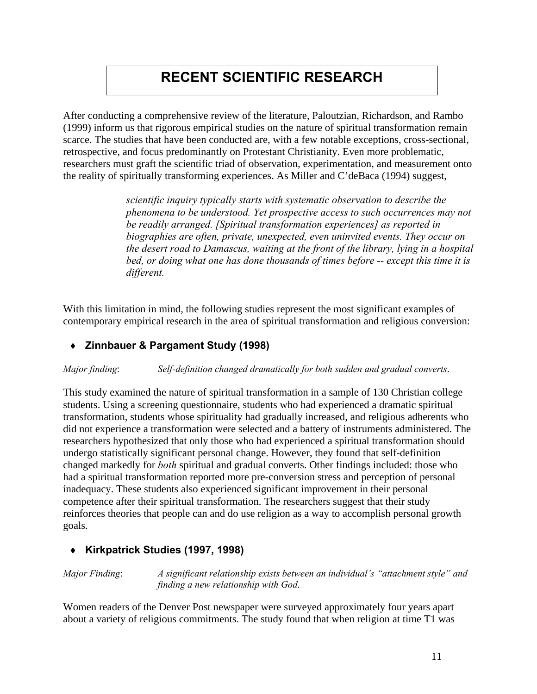# **RECENT SCIENTIFIC RESEARCH**

After conducting a comprehensive review of the literature, Paloutzian, Richardson, and Rambo (1999) inform us that rigorous empirical studies on the nature of spiritual transformation remain scarce. The studies that have been conducted are, with a few notable exceptions, cross-sectional, retrospective, and focus predominantly on Protestant Christianity. Even more problematic, researchers must graft the scientific triad of observation, experimentation, and measurement onto the reality of spiritually transforming experiences. As Miller and C'deBaca (1994) suggest,

> *scientific inquiry typically starts with systematic observation to describe the phenomena to be understood. Yet prospective access to such occurrences may not be readily arranged. [Spiritual transformation experiences] as reported in biographies are often, private, unexpected, even uninvited events. They occur on the desert road to Damascus, waiting at the front of the library, lying in a hospital bed, or doing what one has done thousands of times before -- except this time it is different.*

With this limitation in mind, the following studies represent the most significant examples of contemporary empirical research in the area of spiritual transformation and religious conversion:

#### **¨ Zinnbauer & Pargament Study (1998)**

*Major finding*: *Self-definition changed dramatically for both sudden and gradual converts*.

This study examined the nature of spiritual transformation in a sample of 130 Christian college students. Using a screening questionnaire, students who had experienced a dramatic spiritual transformation, students whose spirituality had gradually increased, and religious adherents who did not experience a transformation were selected and a battery of instruments administered. The researchers hypothesized that only those who had experienced a spiritual transformation should undergo statistically significant personal change. However, they found that self-definition changed markedly for *both* spiritual and gradual converts. Other findings included: those who had a spiritual transformation reported more pre-conversion stress and perception of personal inadequacy. These students also experienced significant improvement in their personal competence after their spiritual transformation. The researchers suggest that their study reinforces theories that people can and do use religion as a way to accomplish personal growth goals.

#### **¨ Kirkpatrick Studies (1997, 1998)**

*Major Finding*: *A significant relationship exists between an individual's "attachment style" and finding a new relationship with God*.

Women readers of the Denver Post newspaper were surveyed approximately four years apart about a variety of religious commitments. The study found that when religion at time T1 was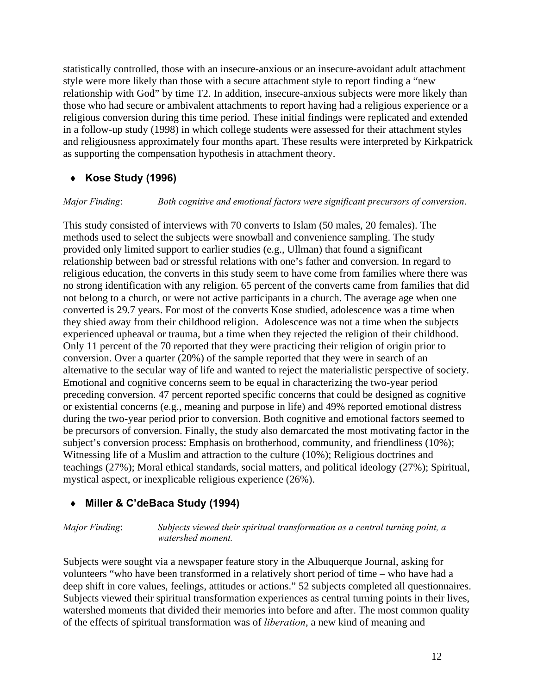statistically controlled, those with an insecure-anxious or an insecure-avoidant adult attachment style were more likely than those with a secure attachment style to report finding a "new relationship with God" by time T2. In addition, insecure-anxious subjects were more likely than those who had secure or ambivalent attachments to report having had a religious experience or a religious conversion during this time period. These initial findings were replicated and extended in a follow-up study (1998) in which college students were assessed for their attachment styles and religiousness approximately four months apart. These results were interpreted by Kirkpatrick as supporting the compensation hypothesis in attachment theory.

### **¨ Kose Study (1996)**

*Major Finding*: *Both cognitive and emotional factors were significant precursors of conversion*.

This study consisted of interviews with 70 converts to Islam (50 males, 20 females). The methods used to select the subjects were snowball and convenience sampling. The study provided only limited support to earlier studies (e.g., Ullman) that found a significant relationship between bad or stressful relations with one's father and conversion. In regard to religious education, the converts in this study seem to have come from families where there was no strong identification with any religion. 65 percent of the converts came from families that did not belong to a church, or were not active participants in a church. The average age when one converted is 29.7 years. For most of the converts Kose studied, adolescence was a time when they shied away from their childhood religion. Adolescence was not a time when the subjects experienced upheaval or trauma, but a time when they rejected the religion of their childhood. Only 11 percent of the 70 reported that they were practicing their religion of origin prior to conversion. Over a quarter (20%) of the sample reported that they were in search of an alternative to the secular way of life and wanted to reject the materialistic perspective of society. Emotional and cognitive concerns seem to be equal in characterizing the two-year period preceding conversion. 47 percent reported specific concerns that could be designed as cognitive or existential concerns (e.g., meaning and purpose in life) and 49% reported emotional distress during the two-year period prior to conversion. Both cognitive and emotional factors seemed to be precursors of conversion. Finally, the study also demarcated the most motivating factor in the subject's conversion process: Emphasis on brotherhood, community, and friendliness (10%); Witnessing life of a Muslim and attraction to the culture (10%); Religious doctrines and teachings (27%); Moral ethical standards, social matters, and political ideology (27%); Spiritual, mystical aspect, or inexplicable religious experience (26%).

### **¨ Miller & C'deBaca Study (1994)**

*Major Finding*: *Subjects viewed their spiritual transformation as a central turning point, a watershed moment.*

Subjects were sought via a newspaper feature story in the Albuquerque Journal, asking for volunteers "who have been transformed in a relatively short period of time – who have had a deep shift in core values, feelings, attitudes or actions." 52 subjects completed all questionnaires. Subjects viewed their spiritual transformation experiences as central turning points in their lives, watershed moments that divided their memories into before and after. The most common quality of the effects of spiritual transformation was of *liberation*, a new kind of meaning and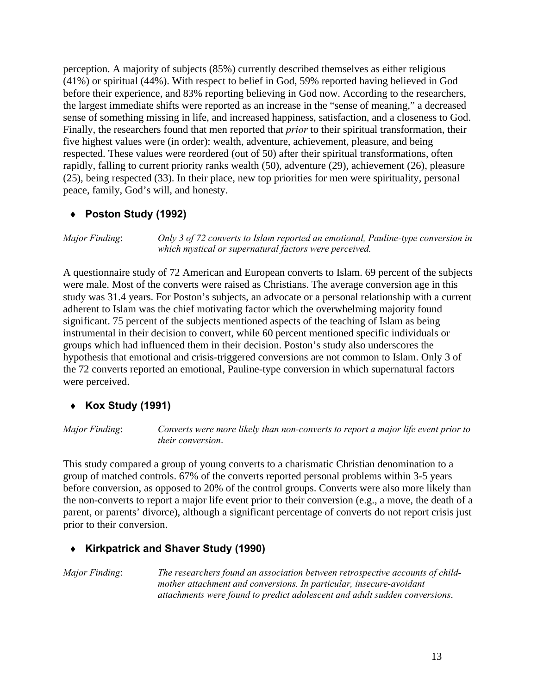perception. A majority of subjects (85%) currently described themselves as either religious (41%) or spiritual (44%). With respect to belief in God, 59% reported having believed in God before their experience, and 83% reporting believing in God now. According to the researchers, the largest immediate shifts were reported as an increase in the "sense of meaning," a decreased sense of something missing in life, and increased happiness, satisfaction, and a closeness to God. Finally, the researchers found that men reported that *prior* to their spiritual transformation, their five highest values were (in order): wealth, adventure, achievement, pleasure, and being respected. These values were reordered (out of 50) after their spiritual transformations, often rapidly, falling to current priority ranks wealth (50), adventure (29), achievement (26), pleasure (25), being respected (33). In their place, new top priorities for men were spirituality, personal peace, family, God's will, and honesty.

#### **¨ Poston Study (1992)**

*Major Finding*: *Only 3 of 72 converts to Islam reported an emotional, Pauline-type conversion in which mystical or supernatural factors were perceived.*

A questionnaire study of 72 American and European converts to Islam. 69 percent of the subjects were male. Most of the converts were raised as Christians. The average conversion age in this study was 31.4 years. For Poston's subjects, an advocate or a personal relationship with a current adherent to Islam was the chief motivating factor which the overwhelming majority found significant. 75 percent of the subjects mentioned aspects of the teaching of Islam as being instrumental in their decision to convert, while 60 percent mentioned specific individuals or groups which had influenced them in their decision. Poston's study also underscores the hypothesis that emotional and crisis-triggered conversions are not common to Islam. Only 3 of the 72 converts reported an emotional, Pauline-type conversion in which supernatural factors were perceived.

#### **¨ Kox Study (1991)**

*Major Finding*: *Converts were more likely than non-converts to report a major life event prior to their conversion*.

This study compared a group of young converts to a charismatic Christian denomination to a group of matched controls. 67% of the converts reported personal problems within 3-5 years before conversion, as opposed to 20% of the control groups. Converts were also more likely than the non-converts to report a major life event prior to their conversion (e.g., a move, the death of a parent, or parents' divorce), although a significant percentage of converts do not report crisis just prior to their conversion.

#### **¨ Kirkpatrick and Shaver Study (1990)**

*Major Finding*: *The researchers found an association between retrospective accounts of childmother attachment and conversions. In particular, insecure-avoidant attachments were found to predict adolescent and adult sudden conversions*.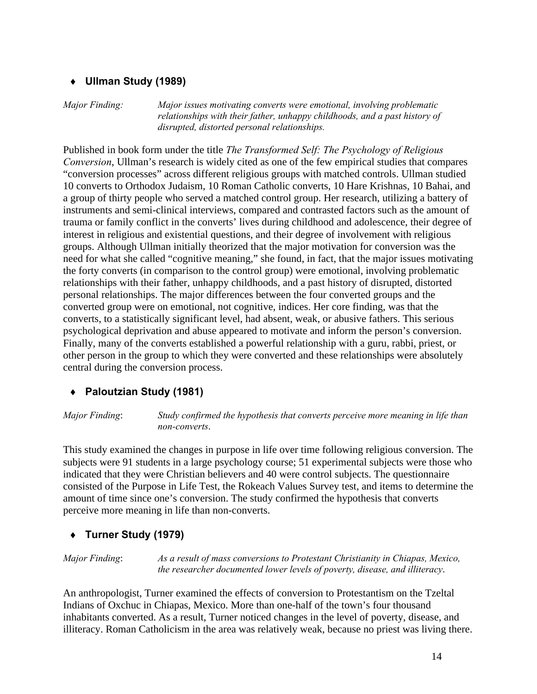#### **¨ Ullman Study (1989)**

*Major Finding: Major issues motivating converts were emotional, involving problematic relationships with their father, unhappy childhoods, and a past history of disrupted, distorted personal relationships.*

Published in book form under the title *The Transformed Self: The Psychology of Religious Conversion*, Ullman's research is widely cited as one of the few empirical studies that compares "conversion processes" across different religious groups with matched controls. Ullman studied 10 converts to Orthodox Judaism, 10 Roman Catholic converts, 10 Hare Krishnas, 10 Bahai, and a group of thirty people who served a matched control group. Her research, utilizing a battery of instruments and semi-clinical interviews, compared and contrasted factors such as the amount of trauma or family conflict in the converts' lives during childhood and adolescence, their degree of interest in religious and existential questions, and their degree of involvement with religious groups. Although Ullman initially theorized that the major motivation for conversion was the need for what she called "cognitive meaning," she found, in fact, that the major issues motivating the forty converts (in comparison to the control group) were emotional, involving problematic relationships with their father, unhappy childhoods, and a past history of disrupted, distorted personal relationships. The major differences between the four converted groups and the converted group were on emotional, not cognitive, indices. Her core finding, was that the converts, to a statistically significant level, had absent, weak, or abusive fathers. This serious psychological deprivation and abuse appeared to motivate and inform the person's conversion. Finally, many of the converts established a powerful relationship with a guru, rabbi, priest, or other person in the group to which they were converted and these relationships were absolutely central during the conversion process.

#### **¨ Paloutzian Study (1981)**

*Major Finding*: *Study confirmed the hypothesis that converts perceive more meaning in life than non-converts*.

This study examined the changes in purpose in life over time following religious conversion. The subjects were 91 students in a large psychology course; 51 experimental subjects were those who indicated that they were Christian believers and 40 were control subjects. The questionnaire consisted of the Purpose in Life Test, the Rokeach Values Survey test, and items to determine the amount of time since one's conversion. The study confirmed the hypothesis that converts perceive more meaning in life than non-converts.

#### **¨ Turner Study (1979)**

*Major Finding*: *As a result of mass conversions to Protestant Christianity in Chiapas, Mexico, the researcher documented lower levels of poverty, disease, and illiteracy*.

An anthropologist, Turner examined the effects of conversion to Protestantism on the Tzeltal Indians of Oxchuc in Chiapas, Mexico. More than one-half of the town's four thousand inhabitants converted. As a result, Turner noticed changes in the level of poverty, disease, and illiteracy. Roman Catholicism in the area was relatively weak, because no priest was living there.